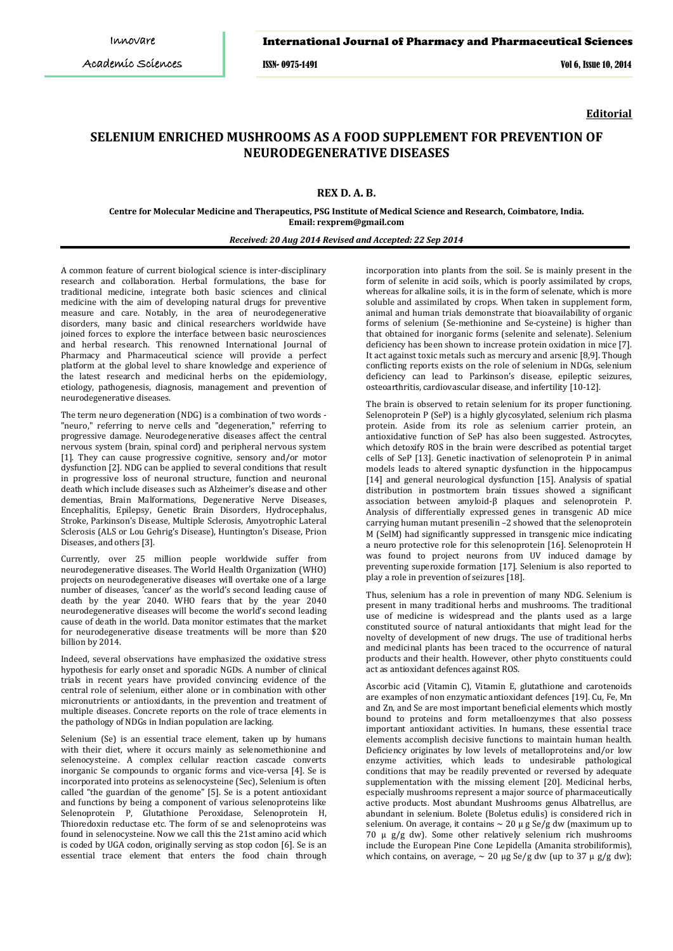#### International Journal of Pharmacy and Pharmaceutical Sciences

ISSN- 0975-1491 Vol 6, Issue 10, 2014

**Editorial**

# **SELENIUM ENRICHED MUSHROOMS AS A FOOD SUPPLEMENT FOR PREVENTION OF NEURODEGENERATIVE DISEASES**

## **REX D. A. B.**

**Centre for Molecular Medicine and Therapeutics, PSG Institute of Medical Science and Research, Coimbatore, India. Email: rexprem@gmail.com**

## *Received: 20 Aug 2014 Revised and Accepted: 22 Sep 2014*

A common feature of current biological science is inter-disciplinary research and collaboration. Herbal formulations, the base for traditional medicine, integrate both basic sciences and clinical medicine with the aim of developing natural drugs for preventive measure and care. Notably, in the area of neurodegenerative disorders, many basic and clinical researchers worldwide have joined forces to explore the interface between basic neurosciences and herbal research. This renowned International Journal of Pharmacy and Pharmaceutical science will provide a perfect platform at the global level to share knowledge and experience of the latest research and medicinal herbs on the epidemiology, etiology, pathogenesis, diagnosis, management and prevention of neurodegenerative diseases.

The term neuro degeneration (NDG) is a combination of two words - "neuro," referring to nerve cells and "degeneration," referring to progressive damage. Neurodegenerative diseases affect the central nervous system (brain, spinal cord) and peripheral nervous system [1]. They can cause progressive cognitive, sensory and/or motor dysfunction [2]. NDG can be applied to several conditions that result in progressive loss of neuronal structure, function and neuronal death which include diseases such as Alzheimer's disease and other dementias, Brain Malformations, Degenerative Nerve Diseases, Encephalitis, Epilepsy, Genetic Brain Disorders, Hydrocephalus, Stroke, Parkinson's Disease, Multiple Sclerosis, Amyotrophic Lateral Sclerosis (ALS or Lou Gehrig's Disease), Huntington's Disease, Prion Diseases, and others [3].

Currently, over 25 million people worldwide suffer from neurodegenerative diseases. The World Health Organization (WHO) projects on neurodegenerative diseases will overtake one of a large number of diseases, 'cancer' as the world's second leading cause of death by the year 2040. WHO fears that by the year 2040 neurodegenerative diseases will become the world's second leading cause of death in the world. Data monitor estimates that the market for neurodegenerative disease treatments will be more than \$20 billion by 2014.

Indeed, several observations have emphasized the oxidative stress hypothesis for early onset and sporadic NGDs. A number of clinical trials in recent years have provided convincing evidence of the central role of selenium, either alone or in combination with other micronutrients or antioxidants, in the prevention and treatment of multiple diseases. Concrete reports on the role of trace elements in the pathology of NDGs in Indian population are lacking.

Selenium (Se) is an essential trace element, taken up by humans with their diet, where it occurs mainly as selenomethionine and selenocysteine. A complex cellular reaction cascade converts inorganic Se compounds to organic forms and vice-versa [4]. Se is incorporated into proteins as selenocysteine (Sec), Selenium is often called "the guardian of the genome" [5]. Se is a potent antioxidant and functions by being a component of various selenoproteins like Selenoprotein P, Glutathione Peroxidase, Selenoprotein H, Thioredoxin reductase etc. The form of se and selenoproteins was found in selenocysteine. Now we call this the 21st amino acid which is coded by UGA codon, originally serving as stop codon [6]. Se is an essential trace element that enters the food chain through

incorporation into plants from the soil. Se is mainly present in the form of selenite in acid soils, which is poorly assimilated by crops, whereas for alkaline soils, it is in the form of selenate, which is more soluble and assimilated by crops. When taken in supplement form, animal and human trials demonstrate that bioavailability of organic forms of selenium (Se-methionine and Se-cysteine) is higher than that obtained for inorganic forms (selenite and selenate). Selenium deficiency has been shown to increase protein oxidation in mice [7]. It act against toxic metals such as mercury and arsenic [8,9]. Though conflicting reports exists on the role of selenium in NDGs, selenium deficiency can lead to Parkinson's disease, epileptic seizures, osteoarthritis, cardiovascular disease, and infertility [10-12].

The brain is observed to retain selenium for its proper functioning. Selenoprotein P (SeP) is a highly glycosylated, selenium rich plasma protein. Aside from its role as selenium carrier protein, an antioxidative function of SeP has also been suggested. Astrocytes, which detoxify ROS in the brain were described as potential target cells of SeP [13]. Genetic inactivation of selenoprotein P in animal models leads to altered synaptic dysfunction in the hippocampus [14] and general neurological dysfunction [15]. Analysis of spatial distribution in postmortem brain tissues showed a significant association between amyloid-β plaques and selenoprotein P. Analysis of differentially expressed genes in transgenic AD mice carrying human mutant presenilin –2 showed that the selenoprotein M (SelM) had significantly suppressed in transgenic mice indicating a neuro protective role for this selenoprotein [16]. Selenoprotein H was found to project neurons from UV induced damage by preventing superoxide formation [17]. Selenium is also reported to play a role in prevention of seizures [18].

Thus, selenium has a role in prevention of many NDG. Selenium is present in many traditional herbs and mushrooms. The traditional use of medicine is widespread and the plants used as a large constituted source of natural antioxidants that might lead for the novelty of development of new drugs. The use of traditional herbs and medicinal plants has been traced to the occurrence of natural products and their health. However, other phyto constituents could act as antioxidant defences against ROS.

Ascorbic acid (Vitamin C), Vitamin E, glutathione and carotenoids are examples of non enzymatic antioxidant defences [19]. Cu, Fe, Mn and Zn, and Se are most important beneficial elements which mostly bound to proteins and form metalloenzymes that also possess important antioxidant activities. In humans, these essential trace elements accomplish decisive functions to maintain human health. Deficiency originates by low levels of metalloproteins and/or low enzyme activities, which leads to undesirable pathological conditions that may be readily prevented or reversed by adequate supplementation with the missing element [20]. Medicinal herbs, especially mushrooms represent a major source of pharmaceutically active products. Most abundant Mushrooms genus Albatrellus, are abundant in selenium. Bolete (Boletus edulis) is considered rich in selenium. On average, it contains ∼ 20 μ g Se/g dw (maximum up to 70 μ g/g dw). Some other relatively selenium rich mushrooms include the European Pine Cone Lepidella (Amanita strobiliformis), which contains, on average,  $\sim$  20 μg Se/g dw (up to 37 μ g/g dw);